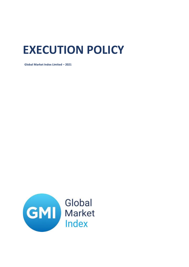## **EXECUTION POLICY**

Global Market Index Limited - 2021